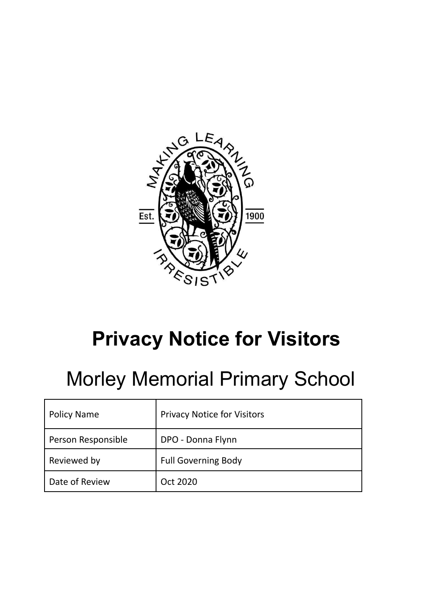

# **Privacy Notice for Visitors**

## Morley Memorial Primary School

| <b>Policy Name</b> | <b>Privacy Notice for Visitors</b> |
|--------------------|------------------------------------|
| Person Responsible | DPO - Donna Flynn                  |
| Reviewed by        | <b>Full Governing Body</b>         |
| Date of Review     | Oct 2020                           |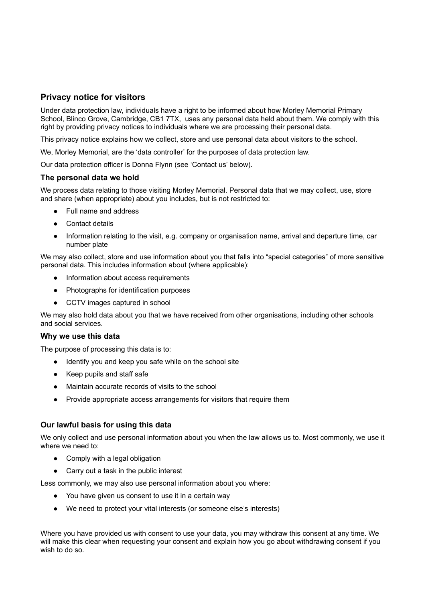### **Privacy notice for visitors**

Under data protection law, individuals have a right to be informed about how Morley Memorial Primary School, Blinco Grove, Cambridge, CB1 7TX, uses any personal data held about them. We comply with this right by providing privacy notices to individuals where we are processing their personal data.

This privacy notice explains how we collect, store and use personal data about visitors to the school.

We, Morley Memorial, are the 'data controller' for the purposes of data protection law.

Our data protection officer is Donna Flynn (see 'Contact us' below).

#### **The personal data we hold**

We process data relating to those visiting Morley Memorial. Personal data that we may collect, use, store and share (when appropriate) about you includes, but is not restricted to:

- Full name and address
- Contact details
- Information relating to the visit, e.g. company or organisation name, arrival and departure time, car number plate

We may also collect, store and use information about you that falls into "special categories" of more sensitive personal data. This includes information about (where applicable):

- Information about access requirements
- Photographs for identification purposes
- CCTV images captured in school

We may also hold data about you that we have received from other organisations, including other schools and social services.

#### **Why we use this data**

The purpose of processing this data is to:

- Identify you and keep you safe while on the school site
- Keep pupils and staff safe
- Maintain accurate records of visits to the school
- Provide appropriate access arrangements for visitors that require them

#### **Our lawful basis for using this data**

We only collect and use personal information about you when the law allows us to. Most commonly, we use it where we need to:

- Comply with a legal obligation
- Carry out a task in the public interest

Less commonly, we may also use personal information about you where:

- You have given us consent to use it in a certain way
- We need to protect your vital interests (or someone else's interests)

Where you have provided us with consent to use your data, you may withdraw this consent at any time. We will make this clear when requesting your consent and explain how you go about withdrawing consent if you wish to do so.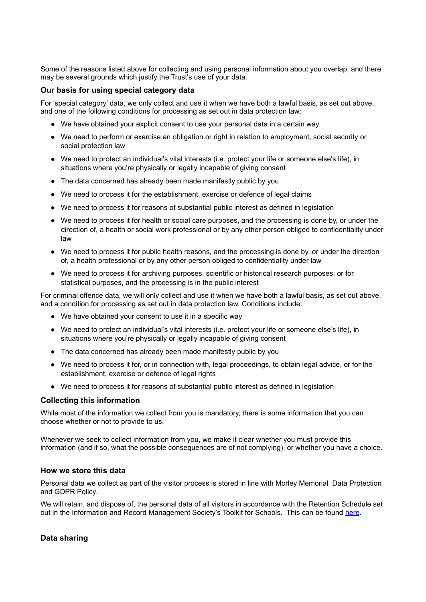Some of the reasons listed above for collecting and using personal information about you overlap, and there may be several grounds which justify the Trust's use of your data.

#### **Our basis for using special category data**

For 'special category' data, we only collect and use it when we have both a lawful basis, as set out above, and one of the following conditions for processing as set out in data protection law:

- We have obtained your explicit consent to use your personal data in a certain way
- We need to perform or exercise an obligation or right in relation to employment, social security or social protection law
- We need to protect an individual's vital interests (i.e. protect your life or someone else's life), in situations where you're physically or legally incapable of giving consent
- The data concerned has already been made manifestly public by you
- We need to process it for the establishment, exercise or defence of legal claims
- We need to process it for reasons of substantial public interest as defined in legislation
- We need to process it for health or social care purposes, and the processing is done by, or under the direction of, a health or social work professional or by any other person obliged to confidentiality under law
- We need to process it for public health reasons, and the processing is done by, or under the direction of, a health professional or by any other person obliged to confidentiality under law
- We need to process it for archiving purposes, scientific or historical research purposes, or for statistical purposes, and the processing is in the public interest

For criminal offence data, we will only collect and use it when we have both a lawful basis, as set out above, and a condition for processing as set out in data protection law. Conditions include:

- We have obtained your consent to use it in a specific way
- We need to protect an individual's vital interests (i.e. protect your life or someone else's life), in situations where you're physically or legally incapable of giving consent
- The data concerned has already been made manifestly public by you
- We need to process it for, or in connection with, legal proceedings, to obtain legal advice, or for the establishment, exercise or defence of legal rights
- We need to process it for reasons of substantial public interest as defined in legislation

#### **Collecting this information**

While most of the information we collect from you is mandatory, there is some information that you can choose whether or not to provide to us.

Whenever we seek to collect information from you, we make it clear whether you must provide this information (and if so, what the possible consequences are of not complying), or whether you have a choice.

#### **How we store this data**

Personal data we collect as part of the visitor process is stored in line with Morley Memorial Data Protection and GDPR Policy.

We will retain, and dispose of, the personal data of all visitors in accordance with the Retention Schedule set out in the Information and Record Management Society's Toolkit for Schools. This can be found [here](http://irms.org.uk/?page=schoolstoolkit&terms=%22toolkit+and+schools%22).

#### **Data sharing**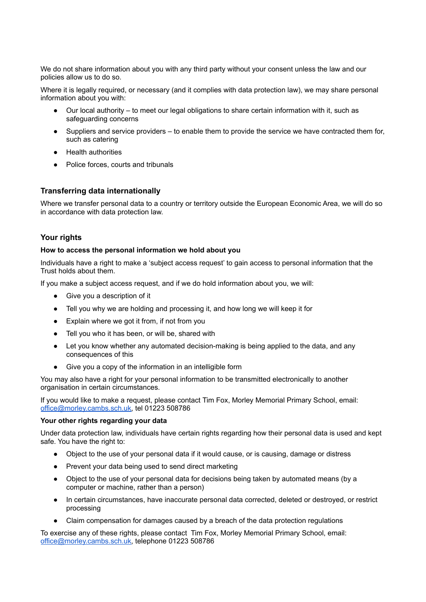We do not share information about you with any third party without your consent unless the law and our policies allow us to do so.

Where it is legally required, or necessary (and it complies with data protection law), we may share personal information about you with:

- Our local authority to meet our legal obligations to share certain information with it, such as safeguarding concerns
- Suppliers and service providers to enable them to provide the service we have contracted them for, such as catering
- Health authorities
- Police forces, courts and tribunals

#### **Transferring data internationally**

Where we transfer personal data to a country or territory outside the European Economic Area, we will do so in accordance with data protection law.

#### **Your rights**

#### **How to access the personal information we hold about you**

Individuals have a right to make a 'subject access request' to gain access to personal information that the Trust holds about them.

If you make a subject access request, and if we do hold information about you, we will:

- Give you a description of it
- Tell you why we are holding and processing it, and how long we will keep it for
- Explain where we got it from, if not from you
- Tell you who it has been, or will be, shared with
- Let you know whether any automated decision-making is being applied to the data, and any consequences of this
- Give you a copy of the information in an intelligible form

You may also have a right for your personal information to be transmitted electronically to another organisation in certain circumstances.

If you would like to make a request, please contact Tim Fox, Morley Memorial Primary School, email: [office@morley.cambs.sch.uk,](mailto:office@morley.cambs.sch.uk) tel 01223 508786

#### **Your other rights regarding your data**

Under data protection law, individuals have certain rights regarding how their personal data is used and kept safe. You have the right to:

- Object to the use of your personal data if it would cause, or is causing, damage or distress
- Prevent your data being used to send direct marketing
- Object to the use of your personal data for decisions being taken by automated means (by a computer or machine, rather than a person)
- In certain circumstances, have inaccurate personal data corrected, deleted or destroyed, or restrict processing
- Claim compensation for damages caused by a breach of the data protection regulations

To exercise any of these rights, please contact Tim Fox, Morley Memorial Primary School, email: [office@morley.cambs.sch.uk,](mailto:office@morley.cambs.sch.uk) telephone 01223 508786